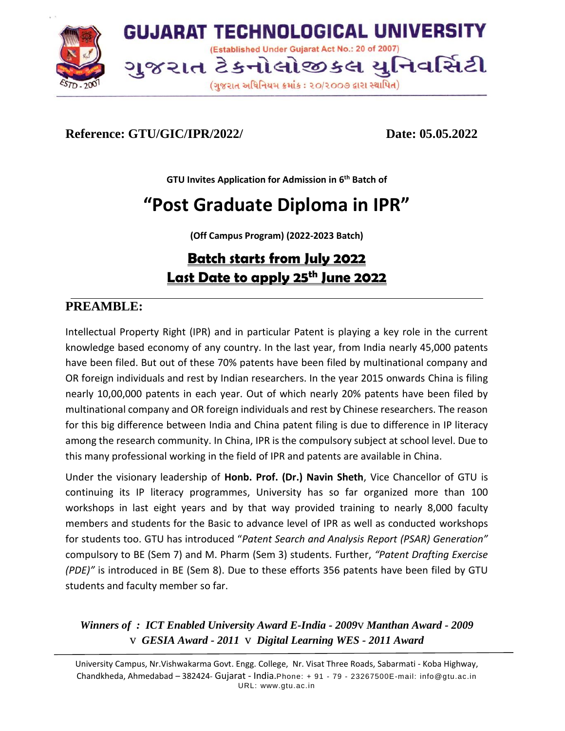

# **Reference: GTU/GIC/IPR/2022/ Date: 05.05.2022**

**GTU Invites Application for Admission in 6 th Batch of**

# **"Post Graduate Diploma in IPR"**

**(Off Campus Program) (2022-2023 Batch)**

# **Batch starts from July 2022 Last Date to apply 25 th June 2022**

# **PREAMBLE:**

Intellectual Property Right (IPR) and in particular Patent is playing a key role in the current knowledge based economy of any country. In the last year, from India nearly 45,000 patents have been filed. But out of these 70% patents have been filed by multinational company and OR foreign individuals and rest by Indian researchers. In the year 2015 onwards China is filing nearly 10,00,000 patents in each year. Out of which nearly 20% patents have been filed by multinational company and OR foreign individuals and rest by Chinese researchers. The reason for this big difference between India and China patent filing is due to difference in IP literacy among the research community. In China, IPR is the compulsory subject at school level. Due to this many professional working in the field of IPR and patents are available in China.

Under the visionary leadership of **Honb. Prof. (Dr.) Navin Sheth**, Vice Chancellor of GTU is continuing its IP literacy programmes, University has so far organized more than 100 workshops in last eight years and by that way provided training to nearly 8,000 faculty members and students for the Basic to advance level of IPR as well as conducted workshops for students too. GTU has introduced "*Patent Search and Analysis Report (PSAR) Generation"* compulsory to BE (Sem 7) and M. Pharm (Sem 3) students. Further, *"Patent Drafting Exercise (PDE)"* is introduced in BE (Sem 8). Due to these efforts 356 patents have been filed by GTU students and faculty member so far.

*Winners of : ICT Enabled University Award E-India - 2009*v *Manthan Award - 2009* v *GESIA Award - 2011* v *Digital Learning WES - 2011 Award*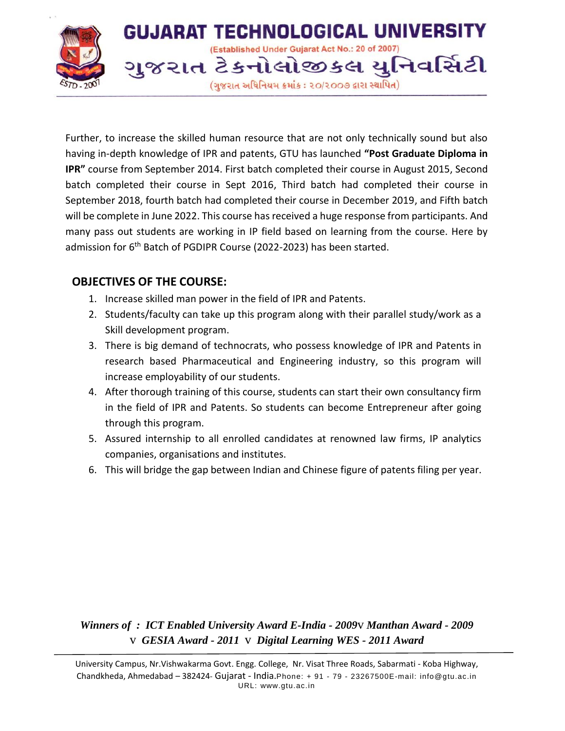

Further, to increase the skilled human resource that are not only technically sound but also having in-depth knowledge of IPR and patents, GTU has launched **"Post Graduate Diploma in IPR"** course from September 2014. First batch completed their course in August 2015, Second batch completed their course in Sept 2016, Third batch had completed their course in September 2018, fourth batch had completed their course in December 2019, and Fifth batch will be complete in June 2022. This course has received a huge response from participants. And many pass out students are working in IP field based on learning from the course. Here by admission for 6<sup>th</sup> Batch of PGDIPR Course (2022-2023) has been started.

### **OBJECTIVES OF THE COURSE:**

- 1. Increase skilled man power in the field of IPR and Patents.
- 2. Students/faculty can take up this program along with their parallel study/work as a Skill development program.
- 3. There is big demand of technocrats, who possess knowledge of IPR and Patents in research based Pharmaceutical and Engineering industry, so this program will increase employability of our students.
- 4. After thorough training of this course, students can start their own consultancy firm in the field of IPR and Patents. So students can become Entrepreneur after going through this program.
- 5. Assured internship to all enrolled candidates at renowned law firms, IP analytics companies, organisations and institutes.
- 6. This will bridge the gap between Indian and Chinese figure of patents filing per year.

#### *Winners of : ICT Enabled University Award E-India - 2009*v *Manthan Award - 2009* v *GESIA Award - 2011* v *Digital Learning WES - 2011 Award*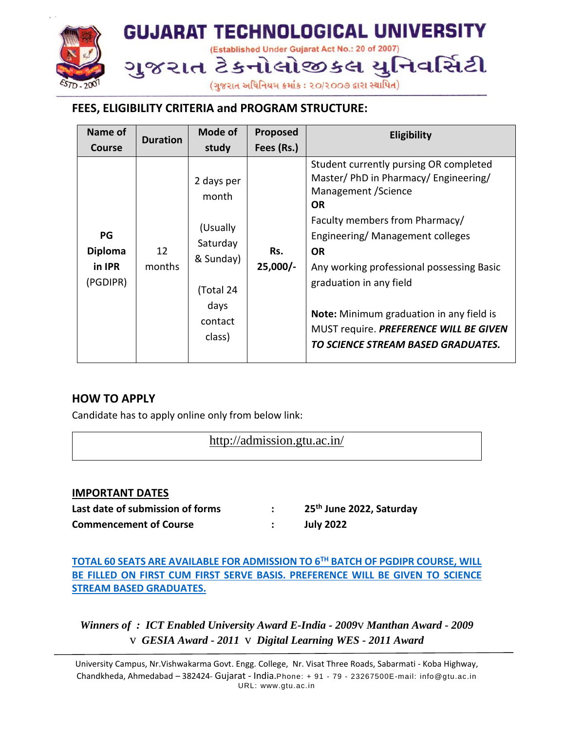

# **FEES, ELIGIBILITY CRITERIA and PROGRAM STRUCTURE:**

| Name of                                    | <b>Duration</b> | Mode of                                                                                            | Proposed          | <b>Eligibility</b>                                                                                                                                                                                                                                                                                                                                                                                                |
|--------------------------------------------|-----------------|----------------------------------------------------------------------------------------------------|-------------------|-------------------------------------------------------------------------------------------------------------------------------------------------------------------------------------------------------------------------------------------------------------------------------------------------------------------------------------------------------------------------------------------------------------------|
| <b>Course</b>                              |                 | study                                                                                              | Fees (Rs.)        |                                                                                                                                                                                                                                                                                                                                                                                                                   |
| PG<br><b>Diploma</b><br>in IPR<br>(PGDIPR) | 12<br>months    | 2 days per<br>month<br>(Usually<br>Saturday<br>& Sunday)<br>(Total 24<br>days<br>contact<br>class) | Rs.<br>$25,000/-$ | Student currently pursing OR completed<br>Master/ PhD in Pharmacy/ Engineering/<br>Management / Science<br><b>OR</b><br>Faculty members from Pharmacy/<br>Engineering/Management colleges<br><b>OR</b><br>Any working professional possessing Basic<br>graduation in any field<br><b>Note:</b> Minimum graduation in any field is<br>MUST require. PREFERENCE WILL BE GIVEN<br>TO SCIENCE STREAM BASED GRADUATES. |

#### **HOW TO APPLY**

Candidate has to apply online only from below link:

http://admission.gtu.ac.in/

#### **IMPORTANT DATES**

**Last date of submission of forms : 25 th June 2022, Saturday Commencement of Course : July 2022**

**TOTAL 60 SEATS ARE AVAILABLE FOR ADMISSION TO 6TH BATCH OF PGDIPR COURSE, WILL BE FILLED ON FIRST CUM FIRST SERVE BASIS. PREFERENCE WILL BE GIVEN TO SCIENCE STREAM BASED GRADUATES.**

*Winners of : ICT Enabled University Award E-India - 2009*v *Manthan Award - 2009* v *GESIA Award - 2011* v *Digital Learning WES - 2011 Award*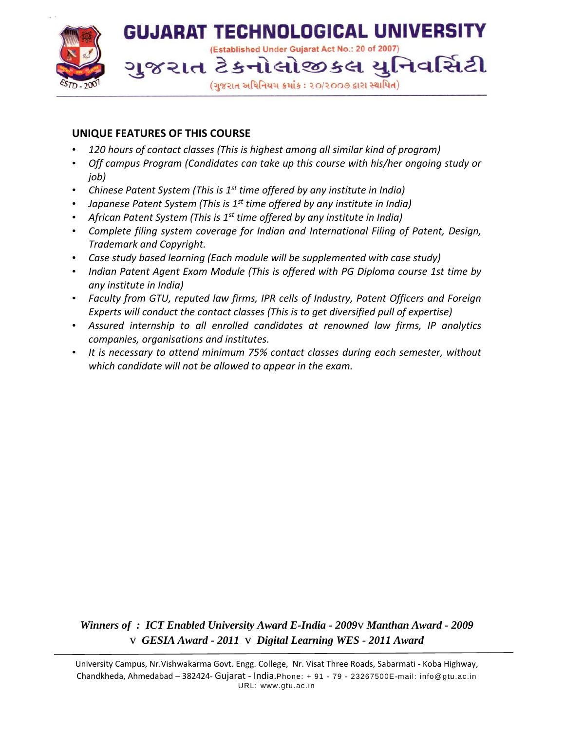

#### **UNIQUE FEATURES OF THIS COURSE**

- *120 hours of contact classes (This is highest among all similar kind of program)*
- *Off campus Program (Candidates can take up this course with his/her ongoing study or job)*
- *Chinese Patent System (This is 1st time offered by any institute in India)*
- *Japanese Patent System (This is 1st time offered by any institute in India)*
- *African Patent System (This is 1st time offered by any institute in India)*
- *Complete filing system coverage for Indian and International Filing of Patent, Design, Trademark and Copyright.*
- *Case study based learning (Each module will be supplemented with case study)*
- *Indian Patent Agent Exam Module (This is offered with PG Diploma course 1st time by any institute in India)*
- *Faculty from GTU, reputed law firms, IPR cells of Industry, Patent Officers and Foreign Experts will conduct the contact classes (This is to get diversified pull of expertise)*
- *Assured internship to all enrolled candidates at renowned law firms, IP analytics companies, organisations and institutes.*
- *It is necessary to attend minimum 75% contact classes during each semester, without which candidate will not be allowed to appear in the exam.*

*Winners of : ICT Enabled University Award E-India - 2009*v *Manthan Award - 2009* v *GESIA Award - 2011* v *Digital Learning WES - 2011 Award*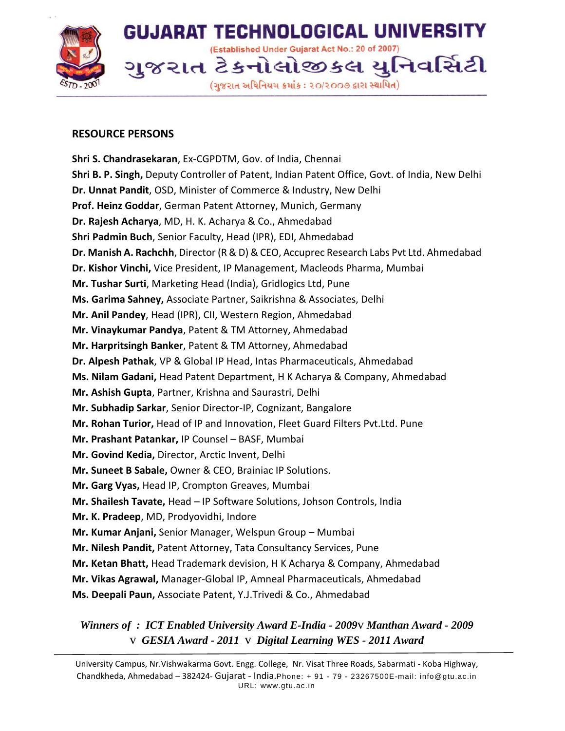

#### **RESOURCE PERSONS**

**Shri S. Chandrasekaran**, Ex-CGPDTM, Gov. of India, Chennai **Shri B. P. Singh,** Deputy Controller of Patent, Indian Patent Office, Govt. of India, New Delhi **Dr. Unnat Pandit**, OSD, Minister of Commerce & Industry, New Delhi **Prof. Heinz Goddar**, German Patent Attorney, Munich, Germany **Dr. Rajesh Acharya**, MD, H. K. Acharya & Co., Ahmedabad **Shri Padmin Buch**, Senior Faculty, Head (IPR), EDI, Ahmedabad **Dr. Manish A. Rachchh**, Director (R & D) & CEO, Accuprec Research Labs Pvt Ltd. Ahmedabad **Dr. Kishor Vinchi,** Vice President, IP Management, Macleods Pharma, Mumbai **Mr. Tushar Surti**, Marketing Head (India), Gridlogics Ltd, Pune **Ms. Garima Sahney,** Associate Partner, Saikrishna & Associates, Delhi **Mr. Anil Pandey**, Head (IPR), CII, Western Region, Ahmedabad **Mr. Vinaykumar Pandya**, Patent & TM Attorney, Ahmedabad **Mr. Harpritsingh Banker**, Patent & TM Attorney, Ahmedabad **Dr. Alpesh Pathak**, VP & Global IP Head, Intas Pharmaceuticals, Ahmedabad **Ms. Nilam Gadani,** Head Patent Department, H K Acharya & Company, Ahmedabad **Mr. Ashish Gupta**, Partner, Krishna and Saurastri, Delhi **Mr. Subhadip Sarkar**, Senior Director-IP, Cognizant, Bangalore **Mr. Rohan Turior,** Head of IP and Innovation, Fleet Guard Filters Pvt.Ltd. Pune **Mr. Prashant Patankar,** IP Counsel – BASF, Mumbai **Mr. Govind Kedia,** Director, Arctic Invent, Delhi **Mr. Suneet B Sabale,** Owner & CEO, Brainiac IP Solutions. **Mr. Garg Vyas,** Head IP, Crompton Greaves, Mumbai **Mr. Shailesh Tavate,** Head – IP Software Solutions, Johson Controls, India **Mr. K. Pradeep**, MD, Prodyovidhi, Indore **Mr. Kumar Anjani,** Senior Manager, Welspun Group – Mumbai **Mr. Nilesh Pandit,** Patent Attorney, Tata Consultancy Services, Pune **Mr. Ketan Bhatt,** Head Trademark devision, H K Acharya & Company, Ahmedabad **Mr. Vikas Agrawal,** Manager-Global IP, Amneal Pharmaceuticals, Ahmedabad **Ms. Deepali Paun,** Associate Patent, Y.J.Trivedi & Co., Ahmedabad

*Winners of : ICT Enabled University Award E-India - 2009*v *Manthan Award - 2009* v *GESIA Award - 2011* v *Digital Learning WES - 2011 Award*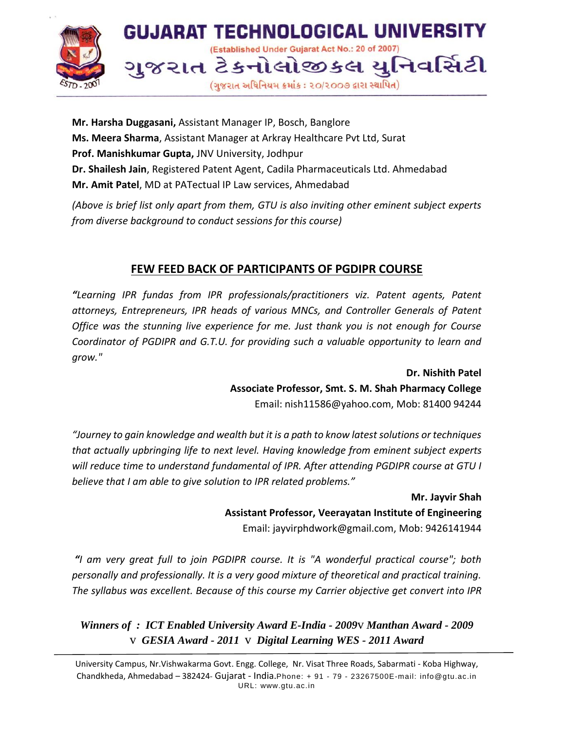

**Mr. Harsha Duggasani,** Assistant Manager IP, Bosch, Banglore **Ms. Meera Sharma**, Assistant Manager at Arkray Healthcare Pvt Ltd, Surat **Prof. Manishkumar Gupta,** JNV University, Jodhpur **Dr. Shailesh Jain**, Registered Patent Agent, Cadila Pharmaceuticals Ltd. Ahmedabad **Mr. Amit Patel**, MD at PATectual IP Law services, Ahmedabad

*(Above is brief list only apart from them, GTU is also inviting other eminent subject experts from diverse background to conduct sessions for this course)*

# **FEW FEED BACK OF PARTICIPANTS OF PGDIPR COURSE**

*"Learning IPR fundas from IPR professionals/practitioners viz. Patent agents, Patent attorneys, Entrepreneurs, IPR heads of various MNCs, and Controller Generals of Patent Office was the stunning live experience for me. Just thank you is not enough for Course Coordinator of PGDIPR and G.T.U. for providing such a valuable opportunity to learn and grow."* 

> **Dr. Nishith Patel Associate Professor, Smt. S. M. Shah Pharmacy College** Email: nish11586@yahoo.com, Mob: 81400 94244

*"Journey to gain knowledge and wealth but it is a path to know latest solutions or techniques that actually upbringing life to next level. Having knowledge from eminent subject experts will reduce time to understand fundamental of IPR. After attending PGDIPR course at GTU I believe that I am able to give solution to IPR related problems."* 

> **Mr. Jayvir Shah Assistant Professor, Veerayatan Institute of Engineering** Email: jayvirphdwork@gmail.com, Mob: 9426141944

*"I am very great full to join PGDIPR course. It is "A wonderful practical course"; both personally and professionally. It is a very good mixture of theoretical and practical training. The syllabus was excellent. Because of this course my Carrier objective get convert into IPR* 

*Winners of : ICT Enabled University Award E-India - 2009*v *Manthan Award - 2009* v *GESIA Award - 2011* v *Digital Learning WES - 2011 Award*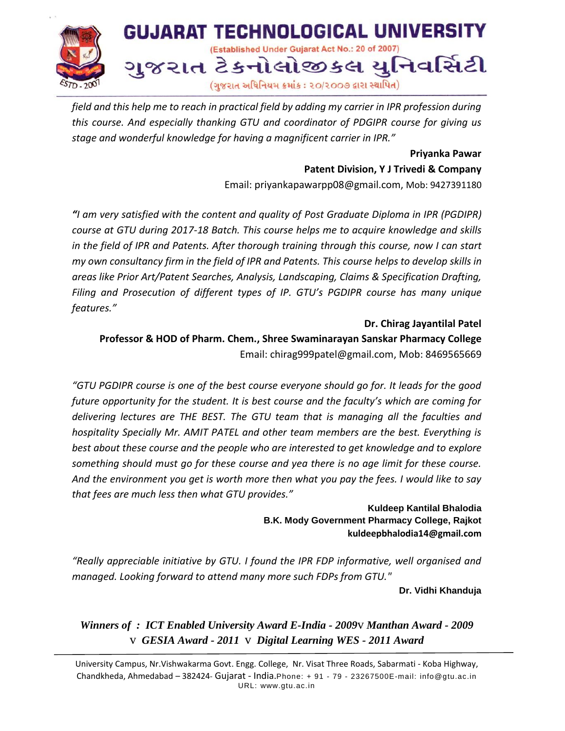

*field and this help me to reach in practical field by adding my carrier in IPR profession during this course. And especially thanking GTU and coordinator of PDGIPR course for giving us stage and wonderful knowledge for having a magnificent carrier in IPR."* 

#### **Priyanka Pawar**

**Patent Division, Y J Trivedi & Company**

Email: priyankapawarpp08@gmail.com, Mob: 9427391180

*"I am very satisfied with the content and quality of Post Graduate Diploma in IPR (PGDIPR) course at GTU during 2017-18 Batch. This course helps me to acquire knowledge and skills in the field of IPR and Patents. After thorough training through this course, now I can start my own consultancy firm in the field of IPR and Patents. This course helps to develop skills in areas like Prior Art/Patent Searches, Analysis, Landscaping, Claims & Specification Drafting, Filing and Prosecution of different types of IP. GTU's PGDIPR course has many unique features."* 

**Dr. Chirag Jayantilal Patel Professor & HOD of Pharm. Chem., Shree Swaminarayan Sanskar Pharmacy College** Email: chirag999patel@gmail.com, Mob: 8469565669

*"GTU PGDIPR course is one of the best course everyone should go for. It leads for the good future opportunity for the student. It is best course and the faculty's which are coming for delivering lectures are THE BEST. The GTU team that is managing all the faculties and hospitality Specially Mr. AMIT PATEL and other team members are the best. Everything is best about these course and the people who are interested to get knowledge and to explore something should must go for these course and yea there is no age limit for these course. And the environment you get is worth more then what you pay the fees. I would like to say that fees are much less then what GTU provides."*

> **Kuldeep Kantilal Bhalodia B.K. Mody Government Pharmacy College, Rajkot [kuldeepbhalodia14@gmail.com](mailto:kuldeepbhalodia14@gmail.com)**

*"Really appreciable initiative by GTU. I found the IPR FDP informative, well organised and managed. Looking forward to attend many more such FDPs from GTU."* 

**Dr. Vidhi Khanduja**

*Winners of : ICT Enabled University Award E-India - 2009*v *Manthan Award - 2009* v *GESIA Award - 2011* v *Digital Learning WES - 2011 Award*